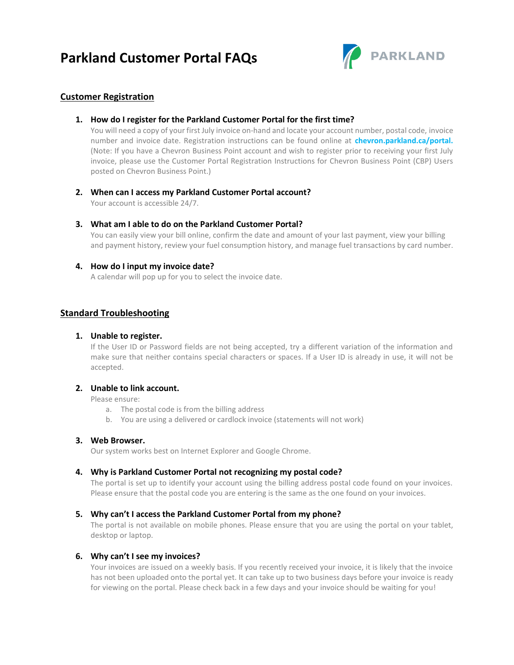## **Parkland Customer Portal FAQs**



## **Customer Registration**

#### **1. How do I register for the Parkland Customer Portal for the first time?**

You will need a copy of your first July invoice on-hand and locate your account number, postal code, invoice number and invoice date. Registration instructions can be found online at **chevron.parkland.ca/portal.**  (Note: If you have a Chevron Business Point account and wish to register prior to receiving your first July invoice, please use the Customer Portal Registration Instructions for Chevron Business Point (CBP) Users posted on Chevron Business Point.)

#### **2. When can I access my Parkland Customer Portal account?**

Your account is accessible 24/7.

#### **3. What am I able to do on the Parkland Customer Portal?**

You can easily view your bill online, confirm the date and amount of your last payment, view your billing and payment history, review your fuel consumption history, and manage fuel transactions by card number.

#### **4. How do I input my invoice date?**

A calendar will pop up for you to select the invoice date.

## **Standard Troubleshooting**

#### **1. Unable to register.**

If the User ID or Password fields are not being accepted, try a different variation of the information and make sure that neither contains special characters or spaces. If a User ID is already in use, it will not be accepted.

#### **2. Unable to link account.**

Please ensure:

- a. The postal code is from the billing address
- b. You are using a delivered or cardlock invoice (statements will not work)

#### **3. Web Browser.**

Our system works best on Internet Explorer and Google Chrome.

#### **4. Why is Parkland Customer Portal not recognizing my postal code?**

The portal is set up to identify your account using the billing address postal code found on your invoices. Please ensure that the postal code you are entering is the same as the one found on your invoices.

#### **5. Why can't I access the Parkland Customer Portal from my phone?**

The portal is not available on mobile phones. Please ensure that you are using the portal on your tablet, desktop or laptop.

#### **6. Why can't I see my invoices?**

Your invoices are issued on a weekly basis. If you recently received your invoice, it is likely that the invoice has not been uploaded onto the portal yet. It can take up to two business days before your invoice is ready for viewing on the portal. Please check back in a few days and your invoice should be waiting for you!